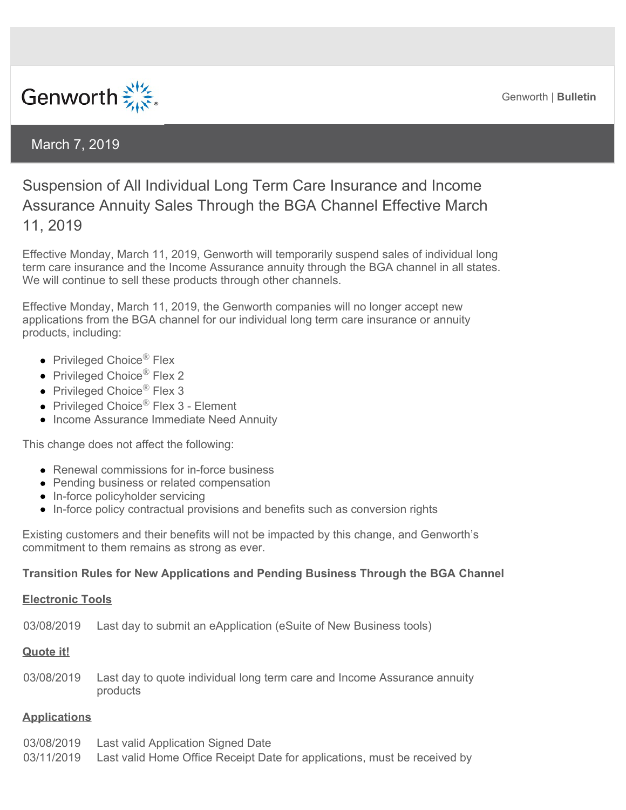Genworth | **Bulletin** 



## March 7, 2019

# Suspension of All Individual Long Term Care Insurance and Income Assurance Annuity Sales Through the BGA Channel Effective March 11, 2019

Effective Monday, March 11, 2019, Genworth will temporarily suspend sales of individual long term care insurance and the Income Assurance annuity through the BGA channel in all states. We will continue to sell these products through other channels.

Effective Monday, March 11, 2019, the Genworth companies will no longer accept new applications from the BGA channel for our individual long term care insurance or annuity products, including:

- Privileged Choice<sup>®</sup> Flex
- Privileged Choice<sup>®</sup> Flex 2
- Privileged Choice<sup>®</sup> Flex 3
- Privileged Choice<sup>®</sup> Flex 3 Element
- Income Assurance Immediate Need Annuity

This change does not affect the following:

- Renewal commissions for in-force business
- Pending business or related compensation
- In-force policyholder servicing
- In-force policy contractual provisions and benefits such as conversion rights

Existing customers and their benefits will not be impacted by this change, and Genworth's commitment to them remains as strong as ever.

#### **Transition Rules for New Applications and Pending Business Through the BGA Channel**

#### **Electronic Tools**

03/08/2019 Last day to submit an eApplication (eSuite of New Business tools)

## **Quote it!**

03/08/2019 Last day to quote individual long term care and Income Assurance annuity products

## **Applications**

03/08/2019 Last valid Application Signed Date 03/11/2019 Last valid Home Office Receipt Date for applications, must be received by